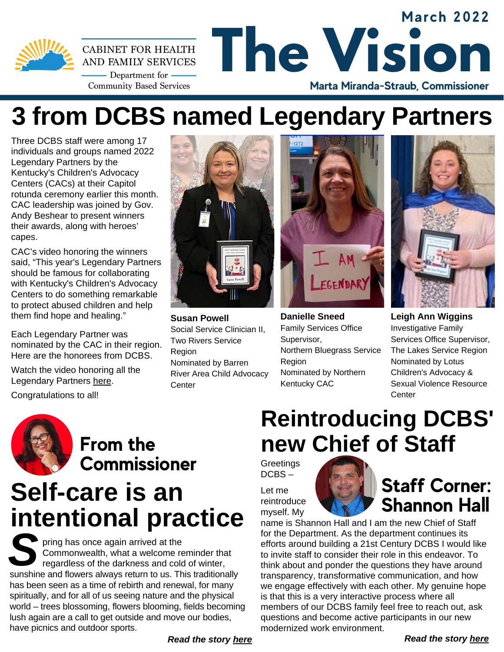

**March 2022 The Vision CABINET FOR HEALTH** AND FAMILY SERVICES - Department for  $-$ **Community Based Services Marta Miranda-Straub, Commissioner**

# **3 from DCBS named Legendary Partners**

Three DCBS staff were among 17 individuals and groups named 2022 Legendary Partners by the Kentucky's Children's Advocacy Centers (CACs) at their Capitol rotunda ceremony earlier this month. CAC leadership was joined by Gov. Andy Beshear to present winners their awards, along with heroes' capes.

CAC's video honoring the winners said, "This year's Legendary Partners should be famous for collaborating with Kentucky's Children's Advocacy Centers to do something remarkable to protect abused children and help them find hope and healing."

Each Legendary Partner was nominated by the CAC in their region. Here are the honorees from DCBS.

Watch the video honoring all the Legendary Partners [here](https://www.facebook.com/cackentucky/videos/493601259025340/).

Congratulations to all!



# **Self-care is an intentional practice**

Fring has once again arrived at the<br>
Commonwealth, what a welcome reminder that<br>
regardless of the darkness and cold of winter,<br>
sunshine and flowers always return to us. This traditionally pring has once again arrived at the Commonwealth, what a welcome reminder that regardless of the darkness and cold of winter, has been seen as a time of rebirth and renewal, for many spiritually, and for all of us seeing nature and the physical world – trees blossoming, flowers blooming, fields becoming lush again are a call to get outside and move our bodies, have picnics and outdoor sports.



**Susan Powell** Social Service Clinician II, Two Rivers Service Region Nominated by Barren River Area Child Advocacy **Center** 



**Danielle Sneed** Family Services Office Supervisor, Northern Bluegrass Service Region Nominated by Northern

Kentucky CAC



**Leigh Ann Wiggins** Investigative Family Services Office Supervisor, The Lakes Service Region Nominated by Lotus Children's Advocacy & Sexual Violence Resource **Center** 

# **Reintroducing DCBS' new Chief of Staff**

**Greetings** DCBS –

Let me reintroduce myself. My



name is Shannon Hall and I am the new Chief of Staff for the Department. As the department continues its efforts around building a 21st Century DCBS I would like to invite staff to consider their role in this endeavor. To think about and ponder the questions they have around transparency, transformative communication, and how we engage effectively with each other. My genuine hope is that this is a very interactive process where all members of our DCBS family feel free to reach out, ask questions and become active participants in our new modernized work environment.

*Read the story [here](https://drive.google.com/file/d/18bRBF6-reEKm6C2GWr-TW760WNdi48KN/view?usp=sharing)*